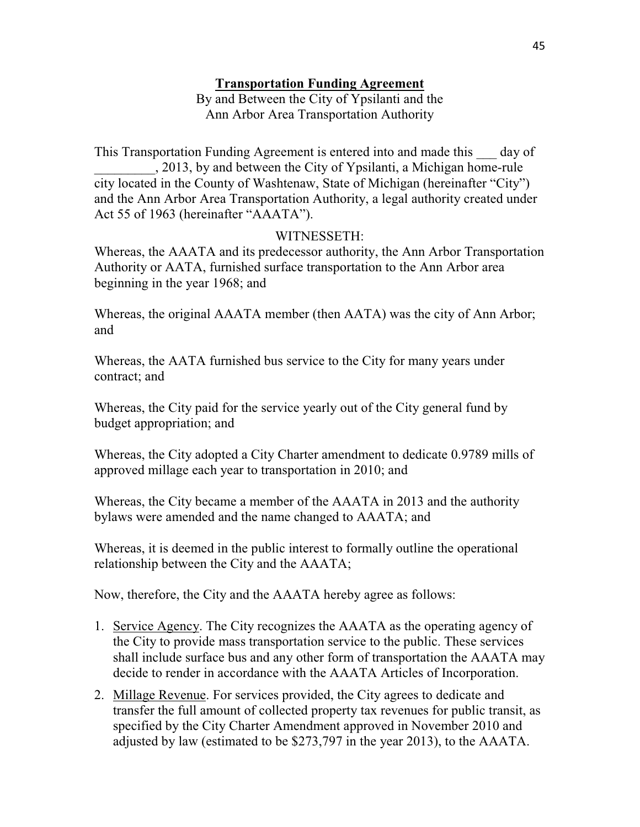## **Transportation Funding Agreement**

By and Between the City of Ypsilanti and the Ann Arbor Area Transportation Authority

This Transportation Funding Agreement is entered into and made this \_\_\_ day of \_\_\_\_\_\_\_\_\_, 2013, by and between the City of Ypsilanti, a Michigan home-rule city located in the County of Washtenaw, State of Michigan (hereinafter "City") and the Ann Arbor Area Transportation Authority, a legal authority created under Act 55 of 1963 (hereinafter "AAATA").

## WITNESSETH:

Whereas, the AAATA and its predecessor authority, the Ann Arbor Transportation Authority or AATA, furnished surface transportation to the Ann Arbor area beginning in the year 1968; and

Whereas, the original AAATA member (then AATA) was the city of Ann Arbor; and

Whereas, the AATA furnished bus service to the City for many years under contract; and

Whereas, the City paid for the service yearly out of the City general fund by budget appropriation; and

Whereas, the City adopted a City Charter amendment to dedicate 0.9789 mills of approved millage each year to transportation in 2010; and

Whereas, the City became a member of the AAATA in 2013 and the authority bylaws were amended and the name changed to AAATA; and

Whereas, it is deemed in the public interest to formally outline the operational relationship between the City and the AAATA;

Now, therefore, the City and the AAATA hereby agree as follows:

- 1. Service Agency. The City recognizes the AAATA as the operating agency of the City to provide mass transportation service to the public. These services shall include surface bus and any other form of transportation the AAATA may decide to render in accordance with the AAATA Articles of Incorporation.
- 2. Millage Revenue. For services provided, the City agrees to dedicate and transfer the full amount of collected property tax revenues for public transit, as specified by the City Charter Amendment approved in November 2010 and adjusted by law (estimated to be \$273,797 in the year 2013), to the AAATA.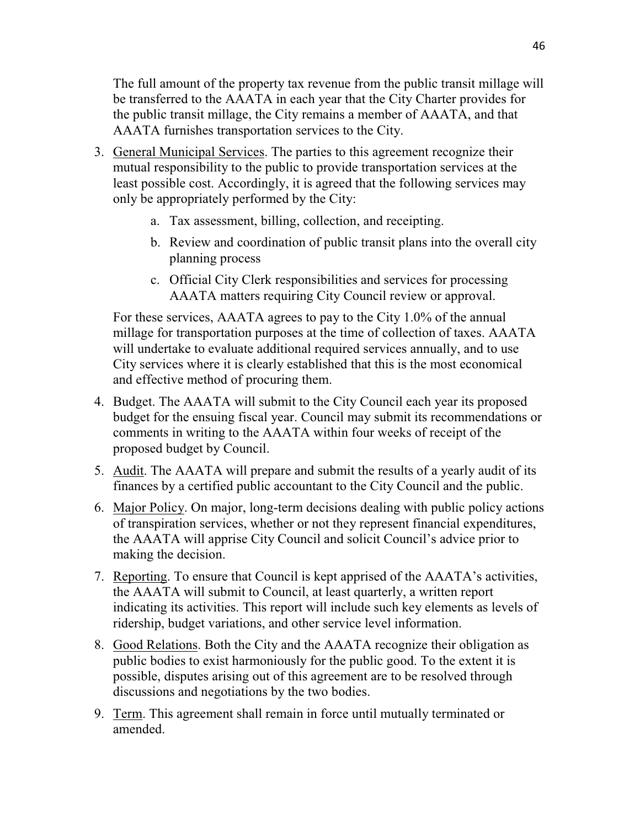The full amount of the property tax revenue from the public transit millage will be transferred to the AAATA in each year that the City Charter provides for the public transit millage, the City remains a member of AAATA, and that AAATA furnishes transportation services to the City.

- 3. General Municipal Services. The parties to this agreement recognize their mutual responsibility to the public to provide transportation services at the least possible cost. Accordingly, it is agreed that the following services may only be appropriately performed by the City:
	- a. Tax assessment, billing, collection, and receipting.
	- b. Review and coordination of public transit plans into the overall city planning process
	- c. Official City Clerk responsibilities and services for processing AAATA matters requiring City Council review or approval.

For these services, AAATA agrees to pay to the City 1.0% of the annual millage for transportation purposes at the time of collection of taxes. AAATA will undertake to evaluate additional required services annually, and to use City services where it is clearly established that this is the most economical and effective method of procuring them.

- 4. Budget. The AAATA will submit to the City Council each year its proposed budget for the ensuing fiscal year. Council may submit its recommendations or comments in writing to the AAATA within four weeks of receipt of the proposed budget by Council.
- 5. Audit. The AAATA will prepare and submit the results of a yearly audit of its finances by a certified public accountant to the City Council and the public.
- 6. Major Policy. On major, long-term decisions dealing with public policy actions of transpiration services, whether or not they represent financial expenditures, the AAATA will apprise City Council and solicit Council's advice prior to making the decision.
- 7. Reporting. To ensure that Council is kept apprised of the AAATA's activities, the AAATA will submit to Council, at least quarterly, a written report indicating its activities. This report will include such key elements as levels of ridership, budget variations, and other service level information.
- 8. Good Relations. Both the City and the AAATA recognize their obligation as public bodies to exist harmoniously for the public good. To the extent it is possible, disputes arising out of this agreement are to be resolved through discussions and negotiations by the two bodies.
- 9. Term. This agreement shall remain in force until mutually terminated or amended.